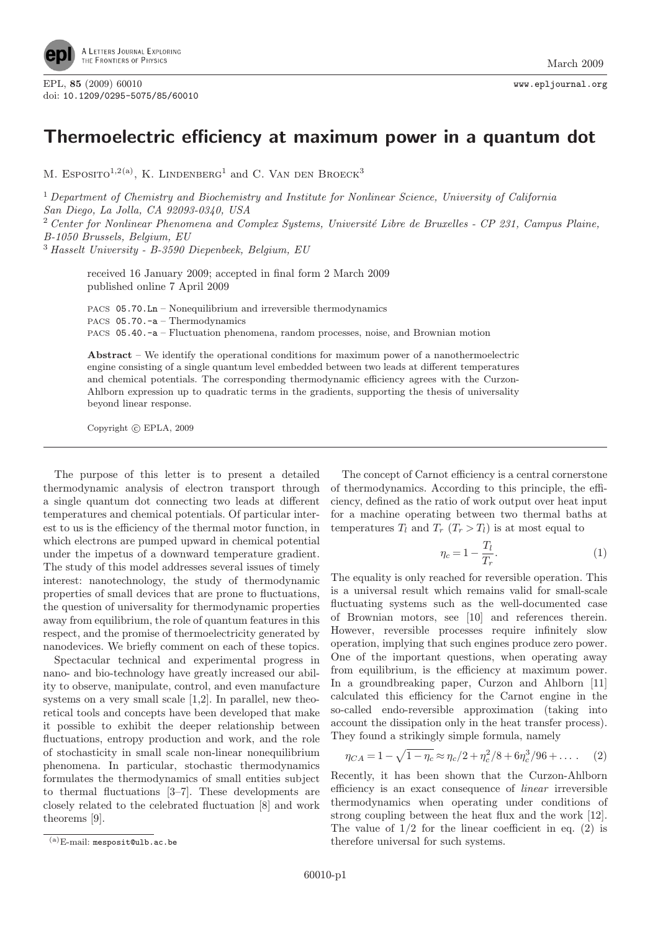

EPL, <sup>85</sup> (2009) 60010 www.epljournal.org doi: 10.1209/0295-5075/85/60010

## Thermoelectric efficiency at maximum power in a quantum dot

M. ESPOSITO<sup>1,2(a)</sup>, K. LINDENBERG<sup>1</sup> and C. VAN DEN BROECK<sup>3</sup>

<sup>1</sup> Department of Chemistry and Biochemistry and Institute for Nonlinear Science, University of California San Diego, La Jolla, CA 92093-0340, USA

 $2$  Center for Nonlinear Phenomena and Complex Systems, Université Libre de Bruxelles - CP 231, Campus Plaine, B-1050 Brussels, Belgium, EU

<sup>3</sup> Hasselt University - B-3590 Diepenbeek, Belgium, EU

received 16 January 2009; accepted in final form 2 March 2009 published online 7 April 2009

PACS 05.70.Ln – Nonequilibrium and irreversible thermodynamics PACS 05.70.-a – Thermodynamics PACS 05.40.-a – Fluctuation phenomena, random processes, noise, and Brownian motion

Abstract – We identify the operational conditions for maximum power of a nanothermoelectric engine consisting of a single quantum level embedded between two leads at different temperatures and chemical potentials. The corresponding thermodynamic efficiency agrees with the Curzon-Ahlborn expression up to quadratic terms in the gradients, supporting the thesis of universality beyond linear response.

Copyright  $\odot$  EPLA, 2009

The purpose of this letter is to present a detailed thermodynamic analysis of electron transport through a single quantum dot connecting two leads at different temperatures and chemical potentials. Of particular interest to us is the efficiency of the thermal motor function, in which electrons are pumped upward in chemical potential under the impetus of a downward temperature gradient. The study of this model addresses several issues of timely interest: nanotechnology, the study of thermodynamic properties of small devices that are prone to fluctuations, the question of universality for thermodynamic properties away from equilibrium, the role of quantum features in this respect, and the promise of thermoelectricity generated by nanodevices. We briefly comment on each of these topics.

Spectacular technical and experimental progress in nano- and bio-technology have greatly increased our ability to observe, manipulate, control, and even manufacture systems on a very small scale [1,2]. In parallel, new theoretical tools and concepts have been developed that make it possible to exhibit the deeper relationship between fluctuations, entropy production and work, and the role of stochasticity in small scale non-linear nonequilibrium phenomena. In particular, stochastic thermodynamics formulates the thermodynamics of small entities subject to thermal fluctuations [3–7]. These developments are closely related to the celebrated fluctuation [8] and work theorems [9].

The concept of Carnot efficiency is a central cornerstone of thermodynamics. According to this principle, the efficiency, defined as the ratio of work output over heat input for a machine operating between two thermal baths at temperatures  $T_l$  and  $T_r$   $(T_r > T_l)$  is at most equal to

$$
\eta_c = 1 - \frac{T_l}{T_r}.\tag{1}
$$

The equality is only reached for reversible operation. This is a universal result which remains valid for small-scale fluctuating systems such as the well-documented case of Brownian motors, see [10] and references therein. However, reversible processes require infinitely slow operation, implying that such engines produce zero power. One of the important questions, when operating away from equilibrium, is the efficiency at maximum power. In a groundbreaking paper, Curzon and Ahlborn [11] calculated this efficiency for the Carnot engine in the so-called endo-reversible approximation (taking into account the dissipation only in the heat transfer process). They found a strikingly simple formula, namely

$$
\eta_{CA} = 1 - \sqrt{1 - \eta_c} \approx \eta_c/2 + \eta_c^2/8 + 6\eta_c^3/96 + \dots
$$
 (2)

Recently, it has been shown that the Curzon-Ahlborn efficiency is an exact consequence of linear irreversible thermodynamics when operating under conditions of strong coupling between the heat flux and the work [12]. The value of  $1/2$  for the linear coefficient in eq. (2) is therefore universal for such systems.

<sup>(</sup>a)E-mail: mesposit@ulb.ac.be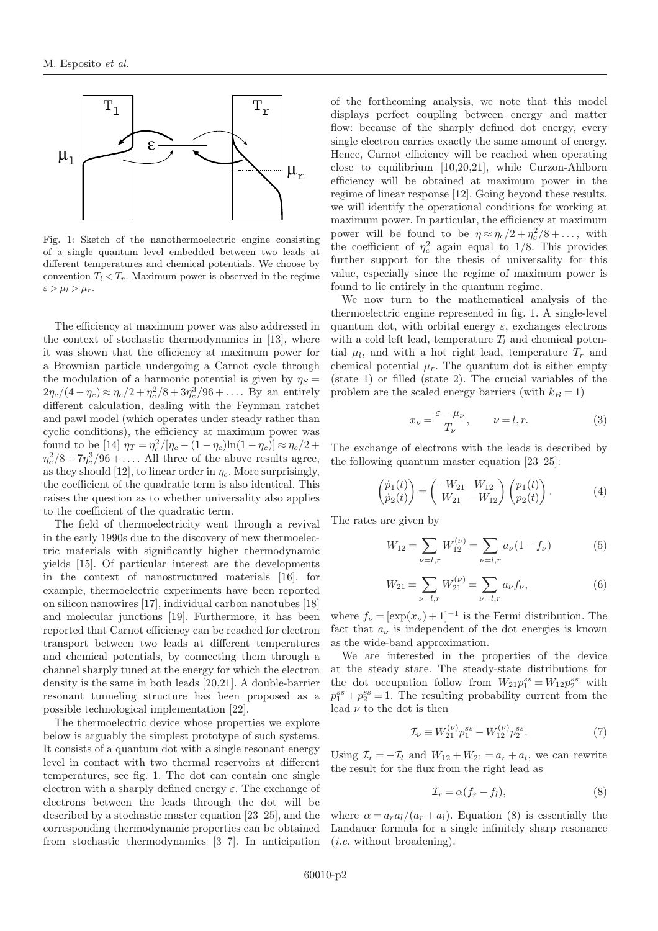

Fig. 1: Sketch of the nanothermoelectric engine consisting of a single quantum level embedded between two leads at different temperatures and chemical potentials. We choose by convention  $T_l < T_r$ . Maximum power is observed in the regime  $\varepsilon > \mu_l > \mu_r$ .

The efficiency at maximum power was also addressed in the context of stochastic thermodynamics in [13], where it was shown that the efficiency at maximum power for a Brownian particle undergoing a Carnot cycle through the modulation of a harmonic potential is given by  $\eta_s =$  $2\eta_c/(4-\eta_c) \approx \eta_c/2 + \eta_c^2/8 + 3\eta_c^3/96 + \dots$ . By an entirely different calculation, dealing with the Feynman ratchet and pawl model (which operates under steady rather than cyclic conditions), the efficiency at maximum power was found to be [14]  $\eta_T = \eta_c^2 / [\eta_c - (1 - \eta_c) \ln(1 - \eta_c)] \approx \eta_c / 2 +$  $\eta_c^2/8 + 7\eta_c^3/96 + \ldots$ . All three of the above results agree, as they should [12], to linear order in  $\eta_c$ . More surprisingly, the coefficient of the quadratic term is also identical. This raises the question as to whether universality also applies to the coefficient of the quadratic term.

The field of thermoelectricity went through a revival in the early 1990s due to the discovery of new thermoelectric materials with significantly higher thermodynamic yields [15]. Of particular interest are the developments in the context of nanostructured materials [16]. for example, thermoelectric experiments have been reported on silicon nanowires [17], individual carbon nanotubes [18] and molecular junctions [19]. Furthermore, it has been reported that Carnot efficiency can be reached for electron transport between two leads at different temperatures and chemical potentials, by connecting them through a channel sharply tuned at the energy for which the electron density is the same in both leads [20,21]. A double-barrier resonant tunneling structure has been proposed as a possible technological implementation [22].

The thermoelectric device whose properties we explore below is arguably the simplest prototype of such systems. It consists of a quantum dot with a single resonant energy level in contact with two thermal reservoirs at different temperatures, see fig. 1. The dot can contain one single electron with a sharply defined energy  $\varepsilon$ . The exchange of electrons between the leads through the dot will be described by a stochastic master equation [23–25], and the corresponding thermodynamic properties can be obtained from stochastic thermodynamics [3–7]. In anticipation

of the forthcoming analysis, we note that this model displays perfect coupling between energy and matter flow: because of the sharply defined dot energy, every single electron carries exactly the same amount of energy. Hence, Carnot efficiency will be reached when operating close to equilibrium [10,20,21], while Curzon-Ahlborn efficiency will be obtained at maximum power in the regime of linear response [12]. Going beyond these results, we will identify the operational conditions for working at maximum power. In particular, the efficiency at maximum power will be found to be  $\eta \approx \eta_c/2 + \eta_c^2/8 + ...,$  with the coefficient of  $\eta_c^2$  again equal to 1/8. This provides further support for the thesis of universality for this value, especially since the regime of maximum power is found to lie entirely in the quantum regime.

We now turn to the mathematical analysis of the thermoelectric engine represented in fig. 1. A single-level quantum dot, with orbital energy  $\varepsilon$ , exchanges electrons with a cold left lead, temperature  $T_l$  and chemical potential  $\mu_l$ , and with a hot right lead, temperature  $T_r$  and chemical potential  $\mu_r$ . The quantum dot is either empty (state 1) or filled (state 2). The crucial variables of the problem are the scaled energy barriers (with  $k_B = 1$ )

$$
x_{\nu} = \frac{\varepsilon - \mu_{\nu}}{T_{\nu}}, \qquad \nu = l, r.
$$
 (3)

The exchange of electrons with the leads is described by the following quantum master equation [23–25]:

$$
\begin{pmatrix} \dot{p}_1(t) \\ \dot{p}_2(t) \end{pmatrix} = \begin{pmatrix} -W_{21} & W_{12} \\ W_{21} & -W_{12} \end{pmatrix} \begin{pmatrix} p_1(t) \\ p_2(t) \end{pmatrix} . \tag{4}
$$

The rates are given by

$$
W_{12} = \sum_{\nu=l,r} W_{12}^{(\nu)} = \sum_{\nu=l,r} a_{\nu} (1 - f_{\nu})
$$
 (5)

$$
W_{21} = \sum_{\nu=l,r} W_{21}^{(\nu)} = \sum_{\nu=l,r} a_{\nu} f_{\nu},\tag{6}
$$

where  $f_{\nu} = [\exp(x_{\nu}) + 1]^{-1}$  is the Fermi distribution. The fact that  $a_{\nu}$  is independent of the dot energies is known as the wide-band approximation.

We are interested in the properties of the device at the steady state. The steady-state distributions for the dot occupation follow from  $W_{21}p_1^{ss} = W_{12}p_2^{ss}$  with  $p_1^{ss} + p_2^{ss} = 1$ . The resulting probability current from the lead  $\nu$  to the dot is then

$$
\mathcal{I}_{\nu} \equiv W_{21}^{(\nu)} p_1^{ss} - W_{12}^{(\nu)} p_2^{ss}.
$$
 (7)

Using  $\mathcal{I}_r = -\mathcal{I}_l$  and  $W_{12} + W_{21} = a_r + a_l$ , we can rewrite the result for the flux from the right lead as

$$
\mathcal{I}_r = \alpha (f_r - f_l),\tag{8}
$$

where  $\alpha = a_r a_l/(a_r + a_l)$ . Equation (8) is essentially the Landauer formula for a single infinitely sharp resonance (i.e. without broadening).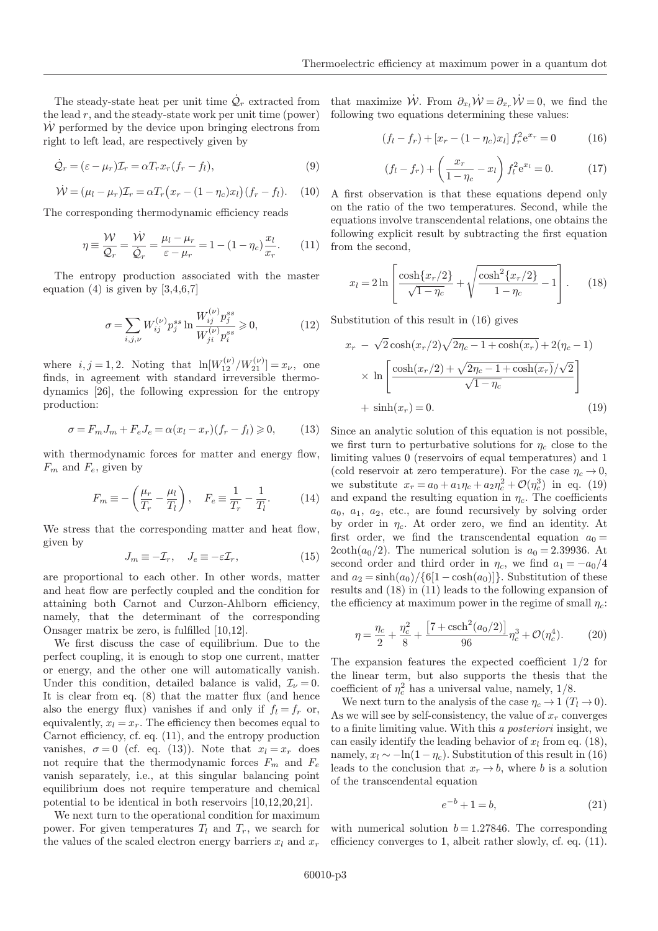the lead  $r$ , and the steady-state work per unit time (power)  $W$  performed by the device upon bringing electrons from right to left lead, are respectively given by

$$
\dot{\mathcal{Q}}_r = (\varepsilon - \mu_r) \mathcal{I}_r = \alpha T_r x_r (f_r - f_l), \tag{9}
$$

$$
\dot{\mathcal{W}} = (\mu_l - \mu_r)\mathcal{I}_r = \alpha T_r (x_r - (1 - \eta_c)x_l)(f_r - f_l). \quad (10)
$$

The corresponding thermodynamic efficiency reads

$$
\eta \equiv \frac{\mathcal{W}}{\mathcal{Q}_r} = \frac{\dot{\mathcal{W}}}{\dot{\mathcal{Q}}_r} = \frac{\mu_l - \mu_r}{\varepsilon - \mu_r} = 1 - (1 - \eta_c) \frac{x_l}{x_r}.
$$
 (11)

The entropy production associated with the master equation (4) is given by  $[3,4,6,7]$ 

$$
\sigma = \sum_{i,j,\nu} W_{ij}^{(\nu)} p_j^{ss} \ln \frac{W_{ij}^{(\nu)} p_j^{ss}}{W_{ji}^{(\nu)} p_i^{ss}} \ge 0,
$$
\n(12)

where  $i, j = 1, 2$ . Noting that  $\ln[W_{12}^{(\nu)}/W_{21}^{(\nu)}] = x_{\nu}$ , one finds, in agreement with standard irreversible thermodynamics [26], the following expression for the entropy production:

$$
\sigma = F_m J_m + F_e J_e = \alpha (x_l - x_r)(f_r - f_l) \geqslant 0, \qquad (13)
$$

with thermodynamic forces for matter and energy flow,  $F_m$  and  $F_e$ , given by

$$
F_m \equiv -\left(\frac{\mu_r}{T_r} - \frac{\mu_l}{T_l}\right), \quad F_e \equiv \frac{1}{T_r} - \frac{1}{T_l}.\tag{14}
$$

We stress that the corresponding matter and heat flow, given by

$$
J_m \equiv -\mathcal{I}_r, \quad J_e \equiv -\varepsilon \mathcal{I}_r,\tag{15}
$$

are proportional to each other. In other words, matter and heat flow are perfectly coupled and the condition for attaining both Carnot and Curzon-Ahlborn efficiency, namely, that the determinant of the corresponding Onsager matrix be zero, is fulfilled [10,12].

We first discuss the case of equilibrium. Due to the perfect coupling, it is enough to stop one current, matter or energy, and the other one will automatically vanish. Under this condition, detailed balance is valid,  $\mathcal{I}_{\nu} = 0$ . It is clear from eq. (8) that the matter flux (and hence also the energy flux) vanishes if and only if  $f_l = f_r$  or, equivalently,  $x_l = x_r$ . The efficiency then becomes equal to Carnot efficiency, cf. eq. (11), and the entropy production vanishes,  $\sigma = 0$  (cf. eq. (13)). Note that  $x_l = x_r$  does not require that the thermodynamic forces  $F_m$  and  $F_e$ vanish separately, i.e., at this singular balancing point equilibrium does not require temperature and chemical potential to be identical in both reservoirs [10,12,20,21].

We next turn to the operational condition for maximum power. For given temperatures  $T_l$  and  $T_r$ , we search for the values of the scaled electron energy barriers  $x_l$  and  $x_r$ 

The steady-state heat per unit time  $\dot{\mathcal{Q}}_r$  extracted from that maximize  $\dot{\mathcal{W}}$ . From  $\partial_{x_l} \dot{\mathcal{W}} = \partial_{x_r} \dot{\mathcal{W}} = 0$ , we find the following two equations determining these values:

$$
(f_l - f_r) + [x_r - (1 - \eta_c)x_l] f_r^2 e^{x_r} = 0 \tag{16}
$$

$$
(f_l - f_r) + \left(\frac{x_r}{1 - \eta_c} - x_l\right) f_l^2 e^{x_l} = 0.
$$
 (17)

A first observation is that these equations depend only on the ratio of the two temperatures. Second, while the equations involve transcendental relations, one obtains the following explicit result by subtracting the first equation from the second,

$$
x_l = 2\ln\left[\frac{\cosh\{x_r/2\}}{\sqrt{1-\eta_c}} + \sqrt{\frac{\cosh^2\{x_r/2\}}{1-\eta_c}} - 1\right].
$$
 (18)

Substitution of this result in (16) gives

$$
x_r - \sqrt{2}\cosh(x_r/2)\sqrt{2\eta_c - 1 + \cosh(x_r)} + 2(\eta_c - 1)
$$
  
 
$$
\times \ln\left[\frac{\cosh(x_r/2) + \sqrt{2\eta_c - 1 + \cosh(x_r)}/\sqrt{2}}{\sqrt{1 - \eta_c}}\right]
$$
  
 
$$
+ \sinh(x_r) = 0.
$$
 (19)

Since an analytic solution of this equation is not possible, we first turn to perturbative solutions for  $\eta_c$  close to the limiting values 0 (reservoirs of equal temperatures) and 1 (cold reservoir at zero temperature). For the case  $\eta_c \rightarrow 0$ , we substitute  $x_r = a_0 + a_1 \eta_c + a_2 \eta_c^2 + \mathcal{O}(\eta_c^3)$  in eq. (19) and expand the resulting equation in  $\eta_c$ . The coefficients  $a_0, a_1, a_2,$  etc., are found recursively by solving order by order in  $\eta_c$ . At order zero, we find an identity. At first order, we find the transcendental equation  $a_0 =$  $2\coth(a_0/2)$ . The numerical solution is  $a_0 = 2.39936$ . At second order and third order in  $\eta_c$ , we find  $a_1 = -a_0/4$ and  $a_2 = \sinh(a_0)/\{6[1-\cosh(a_0)]\}$ . Substitution of these results and (18) in (11) leads to the following expansion of the efficiency at maximum power in the regime of small  $\eta_c$ :

$$
\eta = \frac{\eta_c}{2} + \frac{\eta_c^2}{8} + \frac{\left[7 + \text{csch}^2(a_0/2)\right]}{96} \eta_c^3 + \mathcal{O}(\eta_c^4). \tag{20}
$$

The expansion features the expected coefficient 1/2 for the linear term, but also supports the thesis that the coefficient of  $\eta_c^2$  has a universal value, namely,  $1/8$ .

We next turn to the analysis of the case  $\eta_c \to 1$   $(T_l \to 0)$ . As we will see by self-consistency, the value of  $x_r$  converges to a finite limiting value. With this a posteriori insight, we can easily identify the leading behavior of  $x_l$  from eq. (18), namely,  $x_l \sim -\ln(1 - \eta_c)$ . Substitution of this result in (16) leads to the conclusion that  $x_r \to b$ , where b is a solution of the transcendental equation

$$
e^{-b} + 1 = b,\t\t(21)
$$

with numerical solution  $b = 1.27846$ . The corresponding efficiency converges to 1, albeit rather slowly, cf. eq. (11).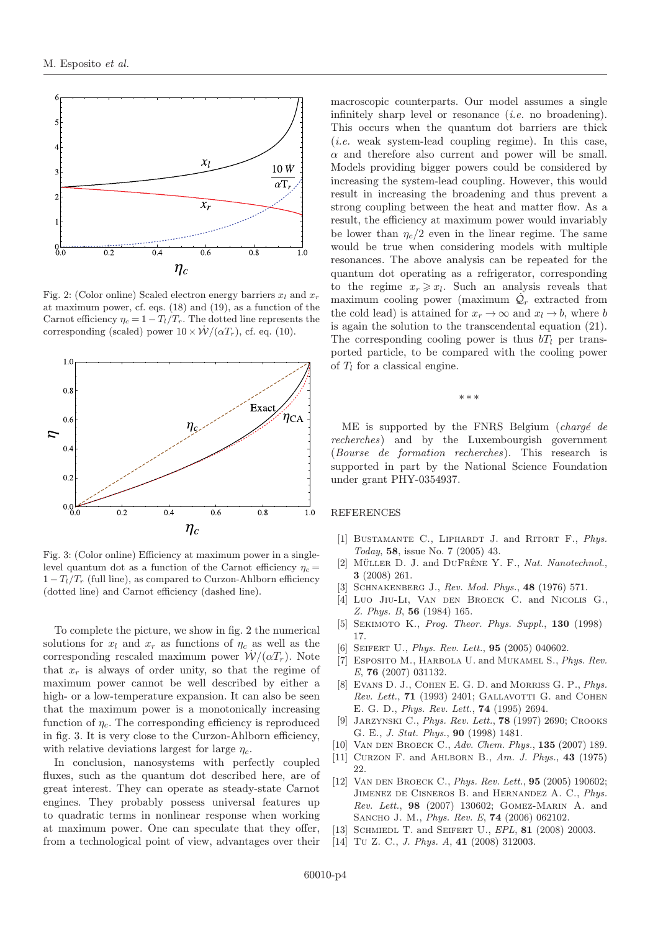

Fig. 2: (Color online) Scaled electron energy barriers  $x_l$  and  $x_r$ at maximum power, cf. eqs. (18) and (19), as a function of the Carnot efficiency  $\eta_c = 1 - T_l/T_r$ . The dotted line represents the corresponding (scaled) power  $10 \times \dot{W}/(\alpha T_r)$ , cf. eq. (10).



Fig. 3: (Color online) Efficiency at maximum power in a singlelevel quantum dot as a function of the Carnot efficiency  $\eta_c =$  $1 - T_l/T_r$  (full line), as compared to Curzon-Ahlborn efficiency (dotted line) and Carnot efficiency (dashed line).

To complete the picture, we show in fig. 2 the numerical solutions for  $x_l$  and  $x_r$  as functions of  $\eta_c$  as well as the corresponding rescaled maximum power  $W/(\alpha T_r)$ . Note that  $x_r$  is always of order unity, so that the regime of maximum power cannot be well described by either a high- or a low-temperature expansion. It can also be seen that the maximum power is a monotonically increasing function of  $\eta_c$ . The corresponding efficiency is reproduced in fig. 3. It is very close to the Curzon-Ahlborn efficiency, with relative deviations largest for large  $\eta_c$ .

In conclusion, nanosystems with perfectly coupled fluxes, such as the quantum dot described here, are of great interest. They can operate as steady-state Carnot engines. They probably possess universal features up to quadratic terms in nonlinear response when working at maximum power. One can speculate that they offer, from a technological point of view, advantages over their

macroscopic counterparts. Our model assumes a single infinitely sharp level or resonance  $(i.e.$  no broadening). This occurs when the quantum dot barriers are thick (i.e. weak system-lead coupling regime). In this case,  $\alpha$  and therefore also current and power will be small. Models providing bigger powers could be considered by increasing the system-lead coupling. However, this would result in increasing the broadening and thus prevent a strong coupling between the heat and matter flow. As a result, the efficiency at maximum power would invariably be lower than  $\eta_c/2$  even in the linear regime. The same would be true when considering models with multiple resonances. The above analysis can be repeated for the quantum dot operating as a refrigerator, corresponding to the regime  $x_r \geq x_l$ . Such an analysis reveals that maximum cooling power (maximum  $\mathcal{Q}_r$  extracted from the cold lead) is attained for  $x_r \to \infty$  and  $x_l \to b$ , where b is again the solution to the transcendental equation (21). The corresponding cooling power is thus  $bT_l$  per transported particle, to be compared with the cooling power of  $T_l$  for a classical engine.

∗∗∗

ME is supported by the FNRS Belgium  $(charg\acute{e}de$ recherches) and by the Luxembourgish government (Bourse de formation recherches). This research is supported in part by the National Science Foundation under grant PHY-0354937.

## REFERENCES

- [1] BUSTAMANTE C., LIPHARDT J. and RITORT F., Phys. Today, 58, issue No. 7 (2005) 43.
- [2] MÜLLER D. J. and DUFRÊNE Y. F., Nat. Nanotechnol., 3 (2008) 261.
- [3] SCHNAKENBERG J., Rev. Mod. Phys., 48 (1976) 571.
- [4] Luo Jiu-Li, Van den Broeck C. and Nicolis G., Z. Phys. B, 56 (1984) 165.
- [5] SEKIMOTO K., Prog. Theor. Phys. Suppl., 130 (1998) 17.
- [6] SEIFERT U., *Phys. Rev. Lett.*, **95** (2005) 040602.
- [7] ESPOSITO M., HARBOLA U. and MUKAMEL S., Phys. Rev. E, 76 (2007) 031132.
- [8] EVANS D. J., COHEN E. G. D. and MORRISS G. P., Phys. Rev. Lett.,  $71$  (1993) 2401; GALLAVOTTI G. and COHEN E. G. D., Phys. Rev. Lett., 74 (1995) 2694.
- [9] Jarzynski C., Phys. Rev. Lett., 78 (1997) 2690; Crooks G. E., J. Stat. Phys., 90 (1998) 1481.
- [10] VAN DEN BROECK C., Adv. Chem. Phys., 135 (2007) 189.
- [11] CURZON F. and AHLBORN B., Am. J. Phys., 43 (1975) 22.
- [12] VAN DEN BROECK C., *Phys. Rev. Lett.*, **95** (2005) 190602; JIMENEZ DE CISNEROS B. and HERNANDEZ A. C., Phys. Rev. Lett., 98 (2007) 130602; Gomez-Marin A. and SANCHO J. M., *Phys. Rev. E*, **74** (2006) 062102.
- [13] SCHMIEDL T. and SEIFERT U., EPL, 81 (2008) 20003.
- [14] Tu Z. C., J. Phys. A, 41 (2008) 312003.